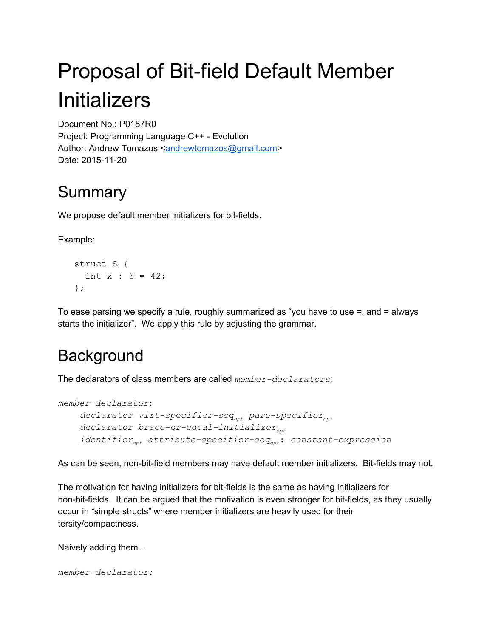# Proposal of Bit-field Default Member Initializers

Document No.: P0187R0 Project: Programming Language C++ Evolution Author: Andrew Tomazos [<andrewtomazos@gmail.com>](mailto:andrewtomazos@gmail.com) Date: 2015-11-20

### **Summary**

We propose default member initializers for bit-fields.

Example:

struct S { int  $x : 6 = 42;$ };

To ease parsing we specify a rule, roughly summarized as "you have to use =, and = always starts the initializer". We apply this rule by adjusting the grammar.

# **Background**

The declarators of class members are called *member-declarators*:

```
memberdeclarator:
     declarator virt-specifier-seq<sub>opt</sub> pure-specifier<sub>opt</sub></sub>
     declarator brace-or-equal-initializer<sub>opt</sub>
     identifier<sub>opt</sub> attribute-specifier-seq<sub>opt</sub>: constant-expression
```
As can be seen, non-bit-field members may have default member initializers. Bit-fields may not.

The motivation for having initializers for bit-fields is the same as having initializers for non-bit-fields. It can be argued that the motivation is even stronger for bit-fields, as they usually occur in "simple structs" where member initializers are heavily used for their tersity/compactness.

Naively adding them...

*memberdeclarator:*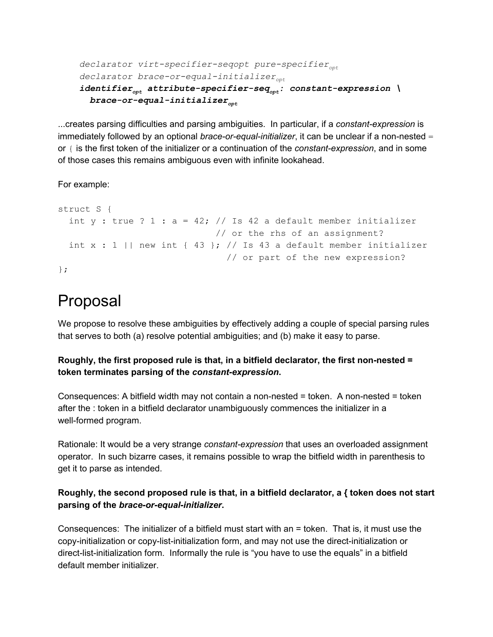```
declarator virt-specifier-seqopt pure-specifier<sub>opt</sub>
declarator brace-or-equal-initializer<sub>opt</sub>
identifier<sub>opt</sub> attribute-specifier-seq<sub>opt</sub>: constant-expression \
  brace-or-equal-initializer<sub>opt</sub>
```
...creates parsing difficulties and parsing ambiguities. In particular, if a *constant-expression* is immediately followed by an optional *brace-or-equal-initializer*, it can be unclear if a non-nested = or  $\{$  is the first token of the initializer or a continuation of the *constant-expression*, and in some of those cases this remains ambiguous even with infinite lookahead.

For example:

```
struct S {
 int y : true ? 1 : a = 42; // Is 42 a default member initializer
                            // or the rhs of an assignment?
 int x : 1 || new int { 43 }; // Is 43 a default member initializer
                              // or part of the new expression?
};
```
### Proposal

We propose to resolve these ambiguities by effectively adding a couple of special parsing rules that serves to both (a) resolve potential ambiguities; and (b) make it easy to parse.

#### **Roughly, the first proposed rule is that, in a bitfield declarator, the first nonnested = token terminates parsing of the** *constantexpression***.**

Consequences: A bitfield width may not contain a non-nested  $=$  token. A non-nested  $=$  token after the : token in a bitfield declarator unambiguously commences the initializer in a well-formed program.

Rationale: It would be a very strange *constant-expression* that uses an overloaded assignment operator. In such bizarre cases, it remains possible to wrap the bitfield width in parenthesis to get it to parse as intended.

#### **Roughly, the second proposed rule is that, in a bitfield declarator, a { token does not start parsing of the** *brace-or-equal-initializer***.**

Consequences: The initializer of a bitfield must start with an = token. That is, it must use the copy-initialization or copy-list-initialization form, and may not use the direct-initialization or direct-list-initialization form. Informally the rule is "you have to use the equals" in a bitfield default member initializer.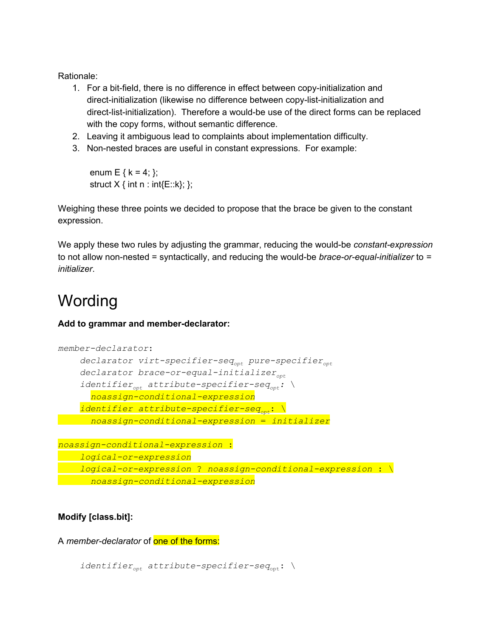Rationale:

- 1. For a bit-field, there is no difference in effect between copy-initialization and direct-initialization (likewise no difference between copy-list-initialization and direct-list-initialization). Therefore a would-be use of the direct forms can be replaced with the copy forms, without semantic difference.
- 2. Leaving it ambiguous lead to complaints about implementation difficulty.
- 3. Non-nested braces are useful in constant expressions. For example:

enum E {  $k = 4$ ; }; struct  $X \{ \text{int n} : \text{int} \{E::k\}; \}$ ;

Weighing these three points we decided to propose that the brace be given to the constant expression.

We apply these two rules by adjusting the grammar, reducing the would-be *constant-expression* to not allow non-nested = syntactically, and reducing the would-be *brace-or-equal-initializer* to = *initializer*.

## Wording

#### Add to grammar and member-declarator:

```
memberdeclarator:
    declarator virt-specifier-seq<sub>opt</sub> pure-specifier<sub>opt</sub>
    declarator brace-or-equal-initializer<sub>opt</sub>
    identifier<sub>opt</sub> attribute-specifier-seq<sub>opt</sub>: \
       noassignconditionalexpression
    identifier attribute-specificer)noassignconditionalexpression = initializer
```

```
noassignconditionalexpression :
   logicalorexpression
   logical-or-expression ? noassign-conditional-expression : \
  noassignconditionalexpression
```
**Modify [class.bit]:**

A *member-declarator* of one of the forms:

```
identifier<sub>opt</sub> attribute-specifier-seq<sub>opt</sub>: \
```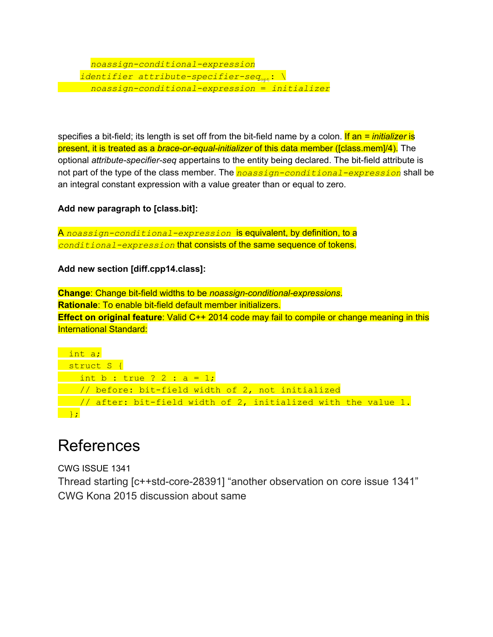#### *noassignconditionalexpression identifier attribute-specifier-seq*<sub>opt</sub>: \ *noassignconditionalexpression* = *initializer*

specifies a bit-field; its length is set off from the bit-field name by a colon. If an = *initializer* is present, it is treated as a *brace-or-equal-initializer* of this data member ([class.mem]/4). The optional *attribute-specifier-seq* appertains to the entity being declared. The bit-field attribute is not part of the type of the class member. The *noassign-conditional-expression* shall be an integral constant expression with a value greater than or equal to zero.

#### **Add new paragraph to [class.bit]:**

A noassign-conditional-expression is equivalent, by definition, to a conditional-expression that consists of the same sequence of tokens.

#### **Add new section [diff.cpp14.class]:**

**Change:** Change bit-field widths to be *noassign-conditional-expressions*. **Rationale:** To enable bit-field default member initializers. **Effect on original feature**: Valid C++ 2014 code may fail to compile or change meaning in this International Standard:

```
int a;
 struct S {
   int b : true ? 2 : a = 1;
  \frac{1}{\sqrt{2}} before: bit-field width of 2, not initialized
\frac{1}{10} after: bit-field width of 2, initialized with the value 1.
};
```
### **References**

CWG ISSUE 1341 Thread starting [c++std-core-28391] "another observation on core issue 1341" CWG Kona 2015 discussion about same